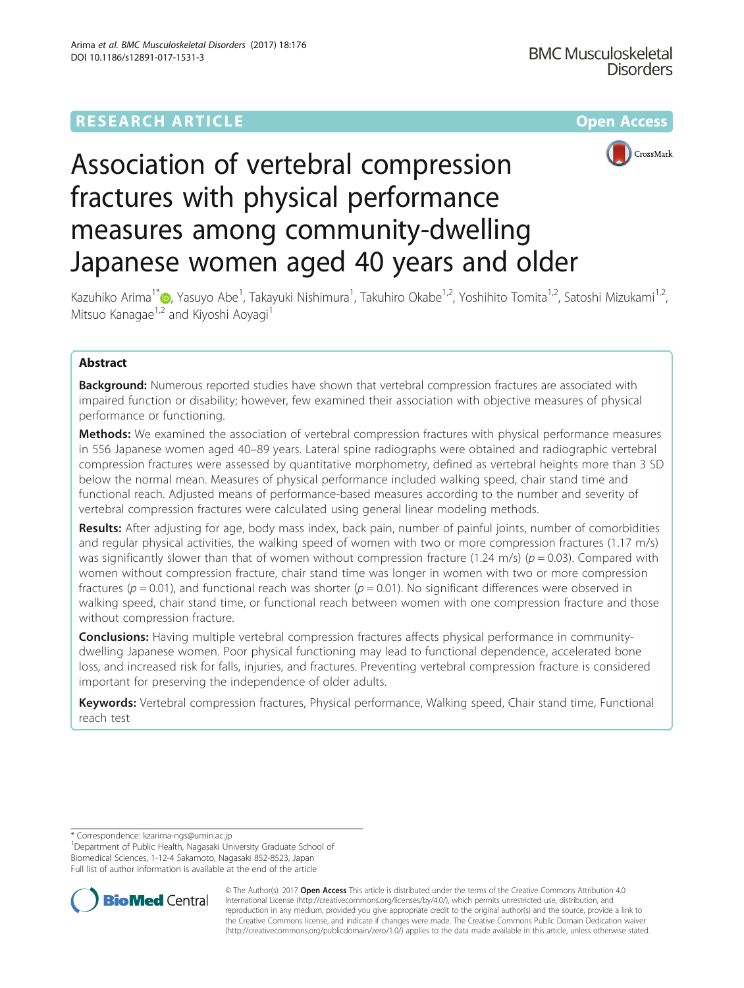## **RESEARCH ARTICLE Example 2014 12:30 The Contract of Contract Article 2014**



# Association of vertebral compression fractures with physical performance measures among community-dwelling Japanese women aged 40 years and older

Kazuhiko Arima<sup>1\*</sup>�[,](http://orcid.org/0000-0003-1149-9428) Yasuyo Abe<sup>1</sup>, Takayuki Nishimura<sup>1</sup>, Takuhiro Okabe<sup>1,2</sup>, Yoshihito Tomita<sup>1,2</sup>, Satoshi Mizukami<sup>1,2</sup>, Mitsuo Kanagae<sup>1,2</sup> and Kiyoshi Aoyagi<sup>1</sup>

## Abstract

**Background:** Numerous reported studies have shown that vertebral compression fractures are associated with impaired function or disability; however, few examined their association with objective measures of physical performance or functioning.

**Methods:** We examined the association of vertebral compression fractures with physical performance measures in 556 Japanese women aged 40–89 years. Lateral spine radiographs were obtained and radiographic vertebral compression fractures were assessed by quantitative morphometry, defined as vertebral heights more than 3 SD below the normal mean. Measures of physical performance included walking speed, chair stand time and functional reach. Adjusted means of performance-based measures according to the number and severity of vertebral compression fractures were calculated using general linear modeling methods.

Results: After adjusting for age, body mass index, back pain, number of painful joints, number of comorbidities and regular physical activities, the walking speed of women with two or more compression fractures (1.17 m/s) was significantly slower than that of women without compression fracture (1.24 m/s) ( $p = 0.03$ ). Compared with women without compression fracture, chair stand time was longer in women with two or more compression fractures ( $p = 0.01$ ), and functional reach was shorter ( $p = 0.01$ ). No significant differences were observed in walking speed, chair stand time, or functional reach between women with one compression fracture and those without compression fracture.

**Conclusions:** Having multiple vertebral compression fractures affects physical performance in communitydwelling Japanese women. Poor physical functioning may lead to functional dependence, accelerated bone loss, and increased risk for falls, injuries, and fractures. Preventing vertebral compression fracture is considered important for preserving the independence of older adults.

Keywords: Vertebral compression fractures, Physical performance, Walking speed, Chair stand time, Functional reach test

<sup>1</sup>Department of Public Health, Nagasaki University Graduate School of Biomedical Sciences, 1-12-4 Sakamoto, Nagasaki 852-8523, Japan Full list of author information is available at the end of the article



© The Author(s). 2017 **Open Access** This article is distributed under the terms of the Creative Commons Attribution 4.0 International License [\(http://creativecommons.org/licenses/by/4.0/](http://creativecommons.org/licenses/by/4.0/)), which permits unrestricted use, distribution, and reproduction in any medium, provided you give appropriate credit to the original author(s) and the source, provide a link to the Creative Commons license, and indicate if changes were made. The Creative Commons Public Domain Dedication waiver [\(http://creativecommons.org/publicdomain/zero/1.0/](http://creativecommons.org/publicdomain/zero/1.0/)) applies to the data made available in this article, unless otherwise stated.

<sup>\*</sup> Correspondence: [kzarima-ngs@umin.ac.jp](mailto:kzarima-ngs@umin.ac.jp) <sup>1</sup>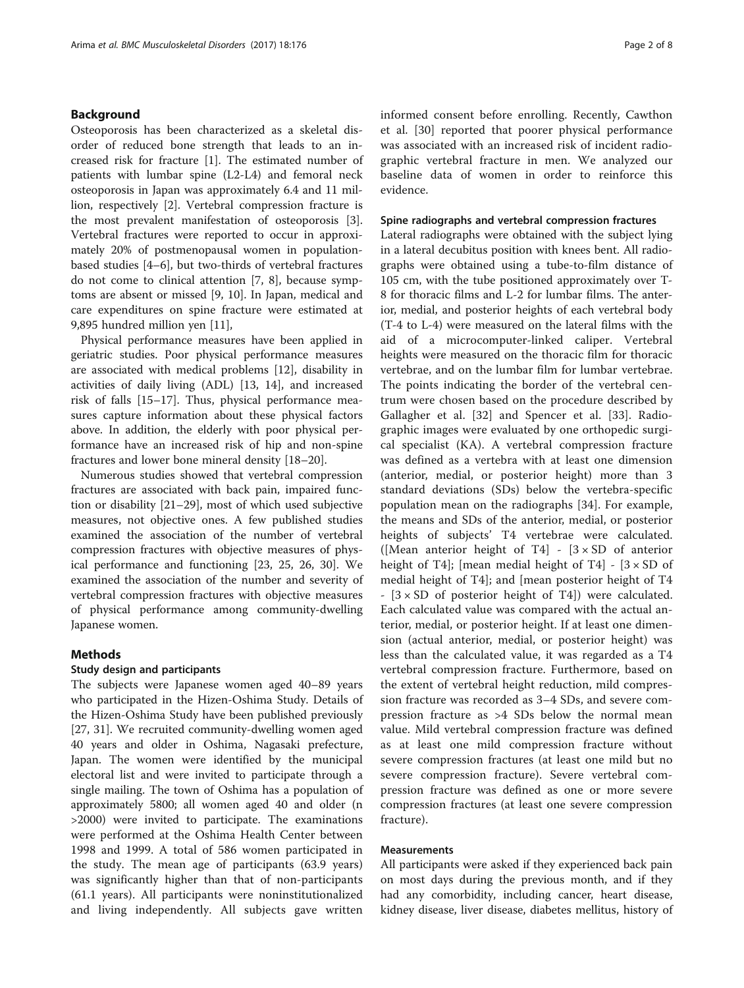## Background

Osteoporosis has been characterized as a skeletal disorder of reduced bone strength that leads to an increased risk for fracture [[1\]](#page-6-0). The estimated number of patients with lumbar spine (L2-L4) and femoral neck osteoporosis in Japan was approximately 6.4 and 11 million, respectively [\[2](#page-6-0)]. Vertebral compression fracture is the most prevalent manifestation of osteoporosis [\[3](#page-7-0)]. Vertebral fractures were reported to occur in approximately 20% of postmenopausal women in populationbased studies [[4](#page-7-0)–[6](#page-7-0)], but two-thirds of vertebral fractures do not come to clinical attention [\[7, 8](#page-7-0)], because symptoms are absent or missed [[9, 10](#page-7-0)]. In Japan, medical and care expenditures on spine fracture were estimated at 9,895 hundred million yen [\[11\]](#page-7-0),

Physical performance measures have been applied in geriatric studies. Poor physical performance measures are associated with medical problems [[12](#page-7-0)], disability in activities of daily living (ADL) [\[13](#page-7-0), [14\]](#page-7-0), and increased risk of falls [[15](#page-7-0)–[17](#page-7-0)]. Thus, physical performance measures capture information about these physical factors above. In addition, the elderly with poor physical performance have an increased risk of hip and non-spine fractures and lower bone mineral density [[18](#page-7-0)–[20\]](#page-7-0).

Numerous studies showed that vertebral compression fractures are associated with back pain, impaired function or disability [\[21](#page-7-0)–[29\]](#page-7-0), most of which used subjective measures, not objective ones. A few published studies examined the association of the number of vertebral compression fractures with objective measures of physical performance and functioning [\[23](#page-7-0), [25, 26, 30](#page-7-0)]. We examined the association of the number and severity of vertebral compression fractures with objective measures of physical performance among community-dwelling Japanese women.

## Methods

## Study design and participants

The subjects were Japanese women aged 40–89 years who participated in the Hizen-Oshima Study. Details of the Hizen-Oshima Study have been published previously [[27, 31\]](#page-7-0). We recruited community-dwelling women aged 40 years and older in Oshima, Nagasaki prefecture, Japan. The women were identified by the municipal electoral list and were invited to participate through a single mailing. The town of Oshima has a population of approximately 5800; all women aged 40 and older (n >2000) were invited to participate. The examinations were performed at the Oshima Health Center between 1998 and 1999. A total of 586 women participated in the study. The mean age of participants (63.9 years) was significantly higher than that of non-participants (61.1 years). All participants were noninstitutionalized and living independently. All subjects gave written informed consent before enrolling. Recently, Cawthon et al. [[30\]](#page-7-0) reported that poorer physical performance was associated with an increased risk of incident radiographic vertebral fracture in men. We analyzed our baseline data of women in order to reinforce this evidence.

## Spine radiographs and vertebral compression fractures

Lateral radiographs were obtained with the subject lying in a lateral decubitus position with knees bent. All radiographs were obtained using a tube-to-film distance of 105 cm, with the tube positioned approximately over T-8 for thoracic films and L-2 for lumbar films. The anterior, medial, and posterior heights of each vertebral body (T-4 to L-4) were measured on the lateral films with the aid of a microcomputer-linked caliper. Vertebral heights were measured on the thoracic film for thoracic vertebrae, and on the lumbar film for lumbar vertebrae. The points indicating the border of the vertebral centrum were chosen based on the procedure described by Gallagher et al. [\[32](#page-7-0)] and Spencer et al. [\[33](#page-7-0)]. Radiographic images were evaluated by one orthopedic surgical specialist (KA). A vertebral compression fracture was defined as a vertebra with at least one dimension (anterior, medial, or posterior height) more than 3 standard deviations (SDs) below the vertebra-specific population mean on the radiographs [\[34](#page-7-0)]. For example, the means and SDs of the anterior, medial, or posterior heights of subjects' T4 vertebrae were calculated. ([Mean anterior height of T4] -  $[3 \times SD]$  of anterior height of T4]; [mean medial height of T4] -  $[3 \times SD$  of medial height of T4]; and [mean posterior height of T4  $[3 \times SD$  of posterior height of T4]) were calculated. Each calculated value was compared with the actual anterior, medial, or posterior height. If at least one dimension (actual anterior, medial, or posterior height) was less than the calculated value, it was regarded as a T4 vertebral compression fracture. Furthermore, based on the extent of vertebral height reduction, mild compression fracture was recorded as 3–4 SDs, and severe compression fracture as >4 SDs below the normal mean value. Mild vertebral compression fracture was defined as at least one mild compression fracture without severe compression fractures (at least one mild but no severe compression fracture). Severe vertebral compression fracture was defined as one or more severe compression fractures (at least one severe compression fracture).

## Measurements

All participants were asked if they experienced back pain on most days during the previous month, and if they had any comorbidity, including cancer, heart disease, kidney disease, liver disease, diabetes mellitus, history of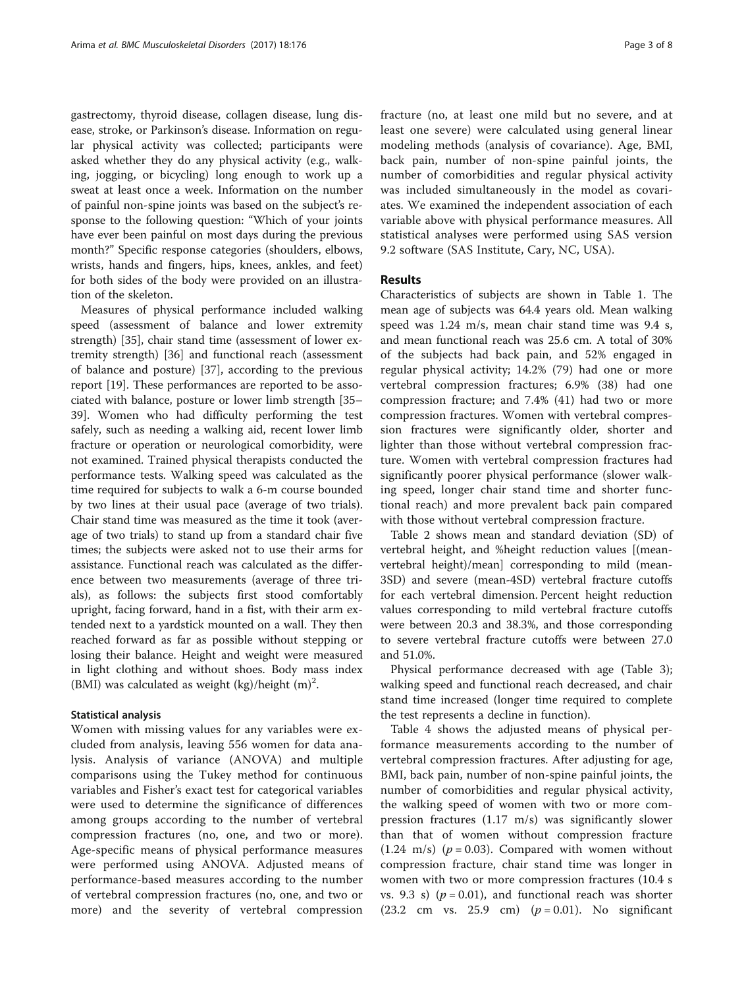gastrectomy, thyroid disease, collagen disease, lung disease, stroke, or Parkinson's disease. Information on regular physical activity was collected; participants were asked whether they do any physical activity (e.g., walking, jogging, or bicycling) long enough to work up a sweat at least once a week. Information on the number of painful non-spine joints was based on the subject's response to the following question: "Which of your joints have ever been painful on most days during the previous month?" Specific response categories (shoulders, elbows, wrists, hands and fingers, hips, knees, ankles, and feet) for both sides of the body were provided on an illustration of the skeleton.

Measures of physical performance included walking speed (assessment of balance and lower extremity strength) [[35\]](#page-7-0), chair stand time (assessment of lower extremity strength) [\[36](#page-7-0)] and functional reach (assessment of balance and posture) [[37\]](#page-7-0), according to the previous report [\[19](#page-7-0)]. These performances are reported to be associated with balance, posture or lower limb strength [[35](#page-7-0)– [39\]](#page-7-0). Women who had difficulty performing the test safely, such as needing a walking aid, recent lower limb fracture or operation or neurological comorbidity, were not examined. Trained physical therapists conducted the performance tests. Walking speed was calculated as the time required for subjects to walk a 6-m course bounded by two lines at their usual pace (average of two trials). Chair stand time was measured as the time it took (average of two trials) to stand up from a standard chair five times; the subjects were asked not to use their arms for assistance. Functional reach was calculated as the difference between two measurements (average of three trials), as follows: the subjects first stood comfortably upright, facing forward, hand in a fist, with their arm extended next to a yardstick mounted on a wall. They then reached forward as far as possible without stepping or losing their balance. Height and weight were measured in light clothing and without shoes. Body mass index (BMI) was calculated as weight  $(kg)/height$   $(m)^2$ .

## Statistical analysis

Women with missing values for any variables were excluded from analysis, leaving 556 women for data analysis. Analysis of variance (ANOVA) and multiple comparisons using the Tukey method for continuous variables and Fisher's exact test for categorical variables were used to determine the significance of differences among groups according to the number of vertebral compression fractures (no, one, and two or more). Age-specific means of physical performance measures were performed using ANOVA. Adjusted means of performance-based measures according to the number of vertebral compression fractures (no, one, and two or more) and the severity of vertebral compression fracture (no, at least one mild but no severe, and at least one severe) were calculated using general linear modeling methods (analysis of covariance). Age, BMI, back pain, number of non-spine painful joints, the number of comorbidities and regular physical activity was included simultaneously in the model as covariates. We examined the independent association of each variable above with physical performance measures. All statistical analyses were performed using SAS version 9.2 software (SAS Institute, Cary, NC, USA).

## Results

Characteristics of subjects are shown in Table [1](#page-3-0). The mean age of subjects was 64.4 years old. Mean walking speed was 1.24 m/s, mean chair stand time was 9.4 s, and mean functional reach was 25.6 cm. A total of 30% of the subjects had back pain, and 52% engaged in regular physical activity; 14.2% (79) had one or more vertebral compression fractures; 6.9% (38) had one compression fracture; and 7.4% (41) had two or more compression fractures. Women with vertebral compression fractures were significantly older, shorter and lighter than those without vertebral compression fracture. Women with vertebral compression fractures had significantly poorer physical performance (slower walking speed, longer chair stand time and shorter functional reach) and more prevalent back pain compared with those without vertebral compression fracture.

Table [2](#page-4-0) shows mean and standard deviation (SD) of vertebral height, and %height reduction values [(meanvertebral height)/mean] corresponding to mild (mean-3SD) and severe (mean-4SD) vertebral fracture cutoffs for each vertebral dimension. Percent height reduction values corresponding to mild vertebral fracture cutoffs were between 20.3 and 38.3%, and those corresponding to severe vertebral fracture cutoffs were between 27.0 and 51.0%.

Physical performance decreased with age (Table [3](#page-5-0)); walking speed and functional reach decreased, and chair stand time increased (longer time required to complete the test represents a decline in function).

Table [4](#page-5-0) shows the adjusted means of physical performance measurements according to the number of vertebral compression fractures. After adjusting for age, BMI, back pain, number of non-spine painful joints, the number of comorbidities and regular physical activity, the walking speed of women with two or more compression fractures (1.17 m/s) was significantly slower than that of women without compression fracture (1.24 m/s) ( $p = 0.03$ ). Compared with women without compression fracture, chair stand time was longer in women with two or more compression fractures (10.4 s vs. 9.3 s)  $(p = 0.01)$ , and functional reach was shorter (23.2 cm vs. 25.9 cm)  $(p = 0.01)$ . No significant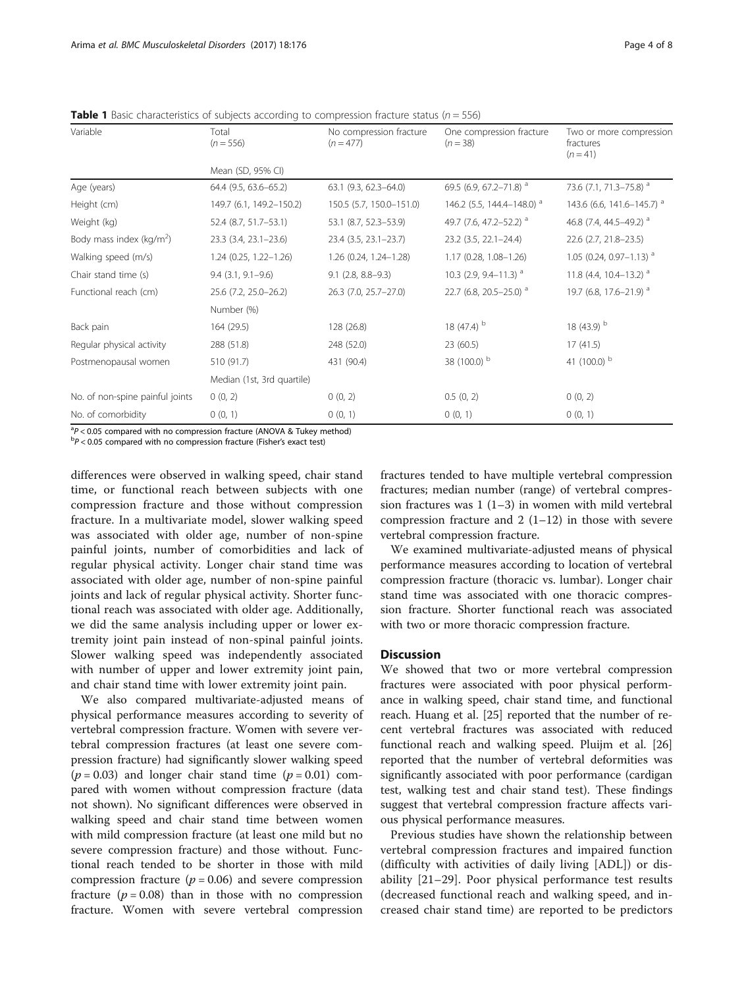| Variable                        | Total<br>$(n = 556)$       | No compression fracture<br>$(n = 477)$ | One compression fracture<br>$(n = 38)$ | Two or more compression<br>fractures<br>$(n = 41)$ |  |  |  |  |
|---------------------------------|----------------------------|----------------------------------------|----------------------------------------|----------------------------------------------------|--|--|--|--|
|                                 | Mean (SD, 95% CI)          |                                        |                                        |                                                    |  |  |  |  |
| Age (years)                     | 64.4 (9.5, 63.6-65.2)      | $63.1$ (9.3, 62.3-64.0)                | 69.5 (6.9, 67.2-71.8) $^a$             | 73.6 (7.1, 71.3–75.8) <sup>a</sup>                 |  |  |  |  |
| Height (cm)                     | 149.7 (6.1, 149.2-150.2)   | 150.5 (5.7, 150.0-151.0)               | 146.2 (5.5, 144.4-148.0) <sup>a</sup>  | 143.6 (6.6, 141.6-145.7) <sup>a</sup>              |  |  |  |  |
| Weight (kg)                     | 52.4 (8.7, 51.7-53.1)      | 53.1 (8.7, 52.3-53.9)                  | 49.7 (7.6, 47.2-52.2) <sup>a</sup>     | 46.8 (7.4, 44.5–49.2) <sup>a</sup>                 |  |  |  |  |
| Body mass index ( $kg/m2$ )     | 23.3 (3.4, 23.1-23.6)      | 23.4 (3.5, 23.1-23.7)                  | $23.2$ (3.5, 22.1-24.4)                | 22.6 (2.7, 21.8-23.5)                              |  |  |  |  |
| Walking speed (m/s)             | $1.24$ (0.25, 1.22-1.26)   | 1.26 (0.24, 1.24-1.28)                 | $1.17(0.28, 1.08 - 1.26)$              | 1.05 (0.24, 0.97-1.13) <sup>a</sup>                |  |  |  |  |
| Chair stand time (s)            | $9.4$ $(3.1, 9.1 - 9.6)$   | $9.1$ (2.8, 8.8-9.3)                   | 10.3 (2.9, 9.4–11.3) <sup>a</sup>      | 11.8 (4.4, 10.4–13.2) $^a$                         |  |  |  |  |
| Functional reach (cm)           | 25.6 (7.2, 25.0-26.2)      | 26.3 (7.0, 25.7-27.0)                  | 22.7 (6.8, 20.5-25.0) <sup>a</sup>     | 19.7 (6.8, 17.6-21.9) <sup>a</sup>                 |  |  |  |  |
|                                 | Number (%)                 |                                        |                                        |                                                    |  |  |  |  |
| Back pain                       | 164 (29.5)                 | 128 (26.8)                             | 18 (47.4) $^{\rm b}$                   | 18 $(43.9)$ <sup>b</sup>                           |  |  |  |  |
| Regular physical activity       | 288 (51.8)                 | 248 (52.0)                             | 23(60.5)                               | 17(41.5)                                           |  |  |  |  |
| Postmenopausal women            | 510 (91.7)                 | 431 (90.4)                             | 38 (100.0) b                           | 41 (100.0) $^{\rm b}$                              |  |  |  |  |
|                                 | Median (1st, 3rd quartile) |                                        |                                        |                                                    |  |  |  |  |
| No. of non-spine painful joints | 0(0, 2)                    | 0(0, 2)                                | 0.5(0, 2)                              | 0(0, 2)                                            |  |  |  |  |
| No. of comorbidity              | 0(0, 1)                    | 0(0, 1)                                | 0(0, 1)                                | 0(0, 1)                                            |  |  |  |  |
| $2 - 1 - 1$                     |                            |                                        |                                        |                                                    |  |  |  |  |

<span id="page-3-0"></span>**Table 1** Basic characteristics of subjects according to compression fracture status ( $n = 556$ )

 $a^2P < 0.05$  compared with no compression fracture (ANOVA & Tukey method)<br> $a^2P < 0.05$  compared with no compression fracture (Fisher's exact tot)

 $P > 0.05$  compared with no compression fracture (Fisher's exact test)

differences were observed in walking speed, chair stand time, or functional reach between subjects with one compression fracture and those without compression fracture. In a multivariate model, slower walking speed was associated with older age, number of non-spine painful joints, number of comorbidities and lack of regular physical activity. Longer chair stand time was associated with older age, number of non-spine painful joints and lack of regular physical activity. Shorter functional reach was associated with older age. Additionally, we did the same analysis including upper or lower extremity joint pain instead of non-spinal painful joints. Slower walking speed was independently associated with number of upper and lower extremity joint pain, and chair stand time with lower extremity joint pain.

We also compared multivariate-adjusted means of physical performance measures according to severity of vertebral compression fracture. Women with severe vertebral compression fractures (at least one severe compression fracture) had significantly slower walking speed  $(p = 0.03)$  and longer chair stand time  $(p = 0.01)$  compared with women without compression fracture (data not shown). No significant differences were observed in walking speed and chair stand time between women with mild compression fracture (at least one mild but no severe compression fracture) and those without. Functional reach tended to be shorter in those with mild compression fracture  $(p = 0.06)$  and severe compression fracture ( $p = 0.08$ ) than in those with no compression fracture. Women with severe vertebral compression

fractures tended to have multiple vertebral compression fractures; median number (range) of vertebral compression fractures was 1 (1–3) in women with mild vertebral compression fracture and  $2(1-12)$  in those with severe vertebral compression fracture.

We examined multivariate-adjusted means of physical performance measures according to location of vertebral compression fracture (thoracic vs. lumbar). Longer chair stand time was associated with one thoracic compression fracture. Shorter functional reach was associated with two or more thoracic compression fracture.

## **Discussion**

We showed that two or more vertebral compression fractures were associated with poor physical performance in walking speed, chair stand time, and functional reach. Huang et al. [[25\]](#page-7-0) reported that the number of recent vertebral fractures was associated with reduced functional reach and walking speed. Pluijm et al. [[26](#page-7-0)] reported that the number of vertebral deformities was significantly associated with poor performance (cardigan test, walking test and chair stand test). These findings suggest that vertebral compression fracture affects various physical performance measures.

Previous studies have shown the relationship between vertebral compression fractures and impaired function (difficulty with activities of daily living [ADL]) or disability [[21](#page-7-0)–[29\]](#page-7-0). Poor physical performance test results (decreased functional reach and walking speed, and increased chair stand time) are reported to be predictors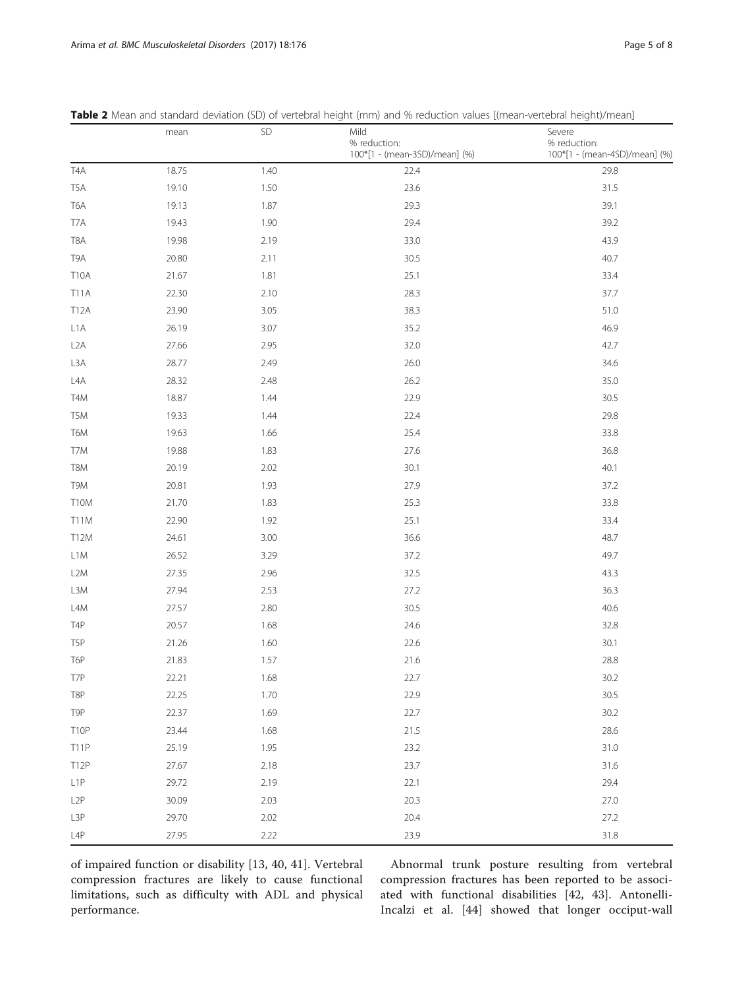|                  | mean  | SD   | Mild<br>% reduction:<br>100*[1 - (mean-3SD)/mean] (%) | Severe<br>% reduction:<br>100*[1 - (mean-4SD)/mean] (%) |
|------------------|-------|------|-------------------------------------------------------|---------------------------------------------------------|
| T <sub>4</sub> A | 18.75 | 1.40 | 22.4                                                  | 29.8                                                    |
| T <sub>5</sub> A | 19.10 | 1.50 | 23.6                                                  | 31.5                                                    |
| T6A              | 19.13 | 1.87 | 29.3                                                  | 39.1                                                    |
| T7A              | 19.43 | 1.90 | 29.4                                                  | 39.2                                                    |
| T8A              | 19.98 | 2.19 | 33.0                                                  | 43.9                                                    |
| T9A              | 20.80 | 2.11 | 30.5                                                  | 40.7                                                    |
| <b>T10A</b>      | 21.67 | 1.81 | 25.1                                                  | 33.4                                                    |
| <b>T11A</b>      | 22.30 | 2.10 | 28.3                                                  | 37.7                                                    |
| T12A             | 23.90 | 3.05 | 38.3                                                  | 51.0                                                    |
| L <sub>1</sub> A | 26.19 | 3.07 | 35.2                                                  | 46.9                                                    |
| L <sub>2</sub> A | 27.66 | 2.95 | 32.0                                                  | 42.7                                                    |
| L3A              | 28.77 | 2.49 | 26.0                                                  | 34.6                                                    |
| LAA              | 28.32 | 2.48 | 26.2                                                  | 35.0                                                    |
| T4M              | 18.87 | 1.44 | 22.9                                                  | 30.5                                                    |
| T <sub>5</sub> M | 19.33 | 1.44 | 22.4                                                  | 29.8                                                    |
| T6M              | 19.63 | 1.66 | 25.4                                                  | 33.8                                                    |
| T7M              | 19.88 | 1.83 | 27.6                                                  | 36.8                                                    |
| T8M              | 20.19 | 2.02 | 30.1                                                  | 40.1                                                    |
| T9M              | 20.81 | 1.93 | 27.9                                                  | 37.2                                                    |
| T10M             | 21.70 | 1.83 | 25.3                                                  | 33.8                                                    |
| T11M             | 22.90 | 1.92 | 25.1                                                  | 33.4                                                    |
| T12M             | 24.61 | 3.00 | 36.6                                                  | 48.7                                                    |
| L <sub>1</sub> M | 26.52 | 3.29 | 37.2                                                  | 49.7                                                    |
| L <sub>2</sub> M | 27.35 | 2.96 | 32.5                                                  | 43.3                                                    |
| L3M              | 27.94 | 2.53 | 27.2                                                  | 36.3                                                    |
| L <sub>4</sub> M | 27.57 | 2.80 | 30.5                                                  | 40.6                                                    |
| T <sub>4</sub> P | 20.57 | 1.68 | 24.6                                                  | 32.8                                                    |
| T <sub>5</sub> P | 21.26 | 1.60 | 22.6                                                  | 30.1                                                    |
| T6P              | 21.83 | 1.57 | 21.6                                                  | 28.8                                                    |
| T7P              | 22.21 | 1.68 | 22.7                                                  | 30.2                                                    |
| T8P              | 22.25 | 1.70 | 22.9                                                  | 30.5                                                    |
| T9P              | 22.37 | 1.69 | 22.7                                                  | 30.2                                                    |
| T10P             | 23.44 | 1.68 | 21.5                                                  | 28.6                                                    |
| <b>T11P</b>      | 25.19 | 1.95 | 23.2                                                  | 31.0                                                    |
| T12P             | 27.67 | 2.18 | 23.7                                                  | 31.6                                                    |
| L <sub>1</sub> P | 29.72 | 2.19 | 22.1                                                  | 29.4                                                    |
| L <sub>2</sub> P | 30.09 | 2.03 | 20.3                                                  | 27.0                                                    |
| L3P              | 29.70 | 2.02 | 20.4                                                  | 27.2                                                    |
| L4P              | 27.95 | 2.22 | 23.9                                                  | 31.8                                                    |

<span id="page-4-0"></span>

| Table 2 Mean and standard deviation (SD) of vertebral height (mm) and % reduction values [(mean-vertebral height)/mean] |  |  |  |  |  |  |  |  |  |  |  |  |  |  |  |  |
|-------------------------------------------------------------------------------------------------------------------------|--|--|--|--|--|--|--|--|--|--|--|--|--|--|--|--|
|-------------------------------------------------------------------------------------------------------------------------|--|--|--|--|--|--|--|--|--|--|--|--|--|--|--|--|

of impaired function or disability [[13](#page-7-0), [40, 41](#page-7-0)]. Vertebral compression fractures are likely to cause functional limitations, such as difficulty with ADL and physical performance.

Abnormal trunk posture resulting from vertebral compression fractures has been reported to be associated with functional disabilities [\[42](#page-7-0), [43](#page-7-0)]. Antonelli-Incalzi et al. [[44](#page-7-0)] showed that longer occiput-wall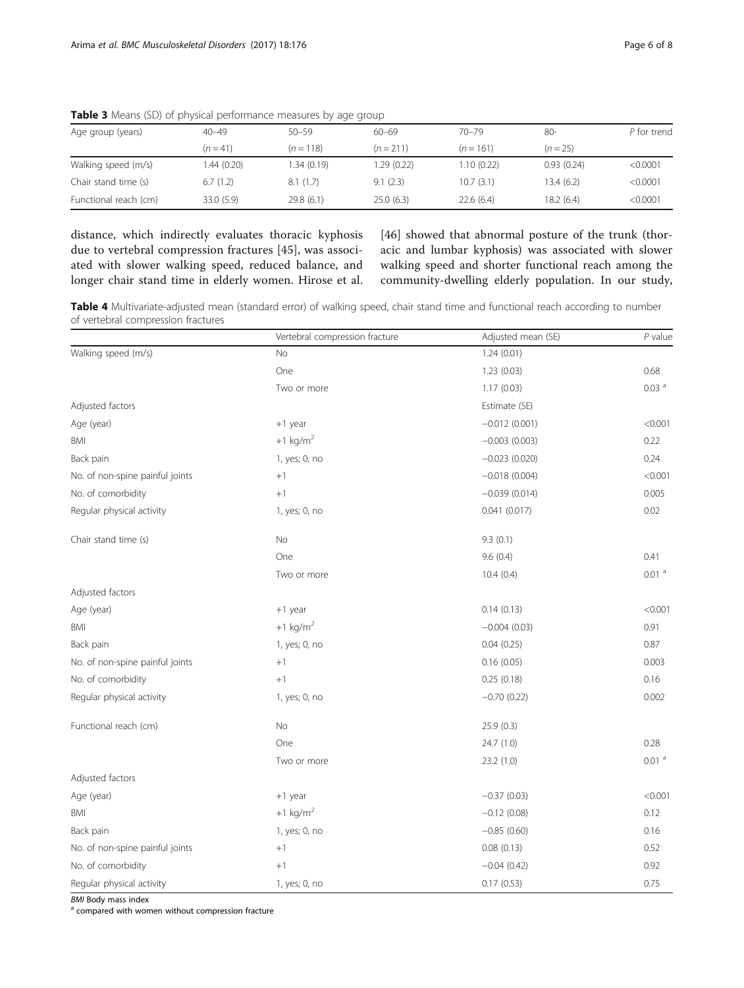| Age group (years)     | $40 - 49$   | $50 - 59$   | $60 - 69$   | $70 - 79$   | 80-        | P for trend |
|-----------------------|-------------|-------------|-------------|-------------|------------|-------------|
|                       | $(n = 41)$  | $(n = 118)$ | $(n = 211)$ | $(n = 161)$ | $(n = 25)$ |             |
| Walking speed (m/s)   | 1.44 (0.20) | 1.34(0.19)  | 1.29(0.22)  | 1.10(0.22)  | 0.93(0.24) | < 0.0001    |
| Chair stand time (s)  | 6.7(1.2)    | 8.1(1.7)    | 9.1(2.3)    | 10.7(3.1)   | 13.4(6.2)  | < 0.0001    |
| Functional reach (cm) | 33.0 (5.9)  | 29.8(6.1)   | 25.0(6.3)   | 22.6(6.4)   | 18.2(6.4)  | < 0.0001    |

<span id="page-5-0"></span>Table 3 Means (SD) of physical performance measures by age group

distance, which indirectly evaluates thoracic kyphosis due to vertebral compression fractures [[45](#page-7-0)], was associated with slower walking speed, reduced balance, and longer chair stand time in elderly women. Hirose et al. [[46](#page-7-0)] showed that abnormal posture of the trunk (thoracic and lumbar kyphosis) was associated with slower walking speed and shorter functional reach among the community-dwelling elderly population. In our study,

Table 4 Multivariate-adjusted mean (standard error) of walking speed, chair stand time and functional reach according to number of vertebral compression fractures

|                                 | Vertebral compression fracture | Adjusted mean (SE) | $P$ value         |
|---------------------------------|--------------------------------|--------------------|-------------------|
| Walking speed (m/s)             | No                             | 1.24(0.01)         |                   |
|                                 | One                            | 1.23(0.03)         | 0.68              |
|                                 | Two or more                    | 1.17(0.03)         | 0.03 <sup>a</sup> |
| Adjusted factors                |                                | Estimate (SE)      |                   |
| Age (year)                      | $+1$ year                      | $-0.012(0.001)$    | < 0.001           |
| BMI                             | $+1$ kg/m <sup>2</sup>         | $-0.003(0.003)$    | 0.22              |
| Back pain                       | 1, yes; 0, no                  | $-0.023(0.020)$    | 0.24              |
| No. of non-spine painful joints | $+1$                           | $-0.018(0.004)$    | < 0.001           |
| No. of comorbidity              | $+1$                           | $-0.039(0.014)$    | 0.005             |
| Regular physical activity       | 1, yes; 0, no                  | 0.041(0.017)       | 0.02              |
| Chair stand time (s)            | No                             | 9.3(0.1)           |                   |
|                                 | One                            | 9.6(0.4)           | 0.41              |
|                                 | Two or more                    | 10.4(0.4)          | 0.01 <sup>a</sup> |
| Adjusted factors                |                                |                    |                   |
| Age (year)                      | $+1$ year                      | 0.14(0.13)         | < 0.001           |
| <b>BMI</b>                      | $+1$ kg/m <sup>2</sup>         | $-0.004(0.03)$     | 0.91              |
| Back pain                       | 1, yes; 0, no                  | 0.04(0.25)         | 0.87              |
| No. of non-spine painful joints | $+1$                           | 0.16(0.05)         | 0.003             |
| No. of comorbidity              | $+1$                           | 0.25(0.18)         | 0.16              |
| Regular physical activity       | 1, yes; 0, no                  | $-0.70(0.22)$      | 0.002             |
| Functional reach (cm)           | No                             | 25.9(0.3)          |                   |
|                                 | One                            | 24.7 (1.0)         | 0.28              |
|                                 | Two or more                    | 23.2(1.0)          | 0.01 <sup>a</sup> |
| Adjusted factors                |                                |                    |                   |
| Age (year)                      | +1 year                        | $-0.37(0.03)$      | < 0.001           |
| BMI                             | $+1$ kg/m <sup>2</sup>         | $-0.12(0.08)$      | 0.12              |
| Back pain                       | 1, yes; 0, no                  | $-0.85(0.60)$      | 0.16              |
| No. of non-spine painful joints | $+1$                           | 0.08(0.13)         | 0.52              |
| No. of comorbidity              | $+1$                           | $-0.04(0.42)$      | 0.92              |
| Regular physical activity       | 1, yes; 0, no                  | 0.17(0.53)         | 0.75              |

 $BMI$  Body mass index<br> $a$  compared with women without compression fracture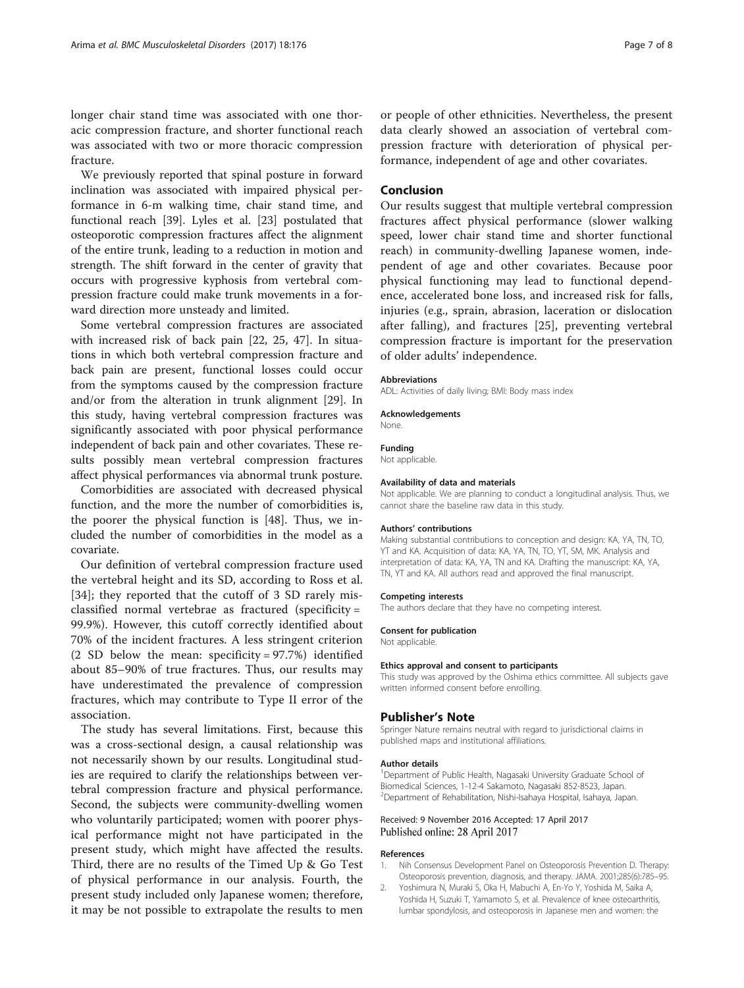<span id="page-6-0"></span>We previously reported that spinal posture in forward inclination was associated with impaired physical performance in 6-m walking time, chair stand time, and functional reach [\[39](#page-7-0)]. Lyles et al. [\[23\]](#page-7-0) postulated that osteoporotic compression fractures affect the alignment of the entire trunk, leading to a reduction in motion and strength. The shift forward in the center of gravity that occurs with progressive kyphosis from vertebral compression fracture could make trunk movements in a forward direction more unsteady and limited.

Some vertebral compression fractures are associated with increased risk of back pain [\[22](#page-7-0), [25](#page-7-0), [47\]](#page-7-0). In situations in which both vertebral compression fracture and back pain are present, functional losses could occur from the symptoms caused by the compression fracture and/or from the alteration in trunk alignment [\[29\]](#page-7-0). In this study, having vertebral compression fractures was significantly associated with poor physical performance independent of back pain and other covariates. These results possibly mean vertebral compression fractures affect physical performances via abnormal trunk posture.

Comorbidities are associated with decreased physical function, and the more the number of comorbidities is, the poorer the physical function is [[48\]](#page-7-0). Thus, we included the number of comorbidities in the model as a covariate.

Our definition of vertebral compression fracture used the vertebral height and its SD, according to Ross et al. [[34\]](#page-7-0); they reported that the cutoff of 3 SD rarely misclassified normal vertebrae as fractured (specificity = 99.9%). However, this cutoff correctly identified about 70% of the incident fractures. A less stringent criterion (2 SD below the mean: specificity = 97.7%) identified about 85–90% of true fractures. Thus, our results may have underestimated the prevalence of compression fractures, which may contribute to Type II error of the association.

The study has several limitations. First, because this was a cross-sectional design, a causal relationship was not necessarily shown by our results. Longitudinal studies are required to clarify the relationships between vertebral compression fracture and physical performance. Second, the subjects were community-dwelling women who voluntarily participated; women with poorer physical performance might not have participated in the present study, which might have affected the results. Third, there are no results of the Timed Up & Go Test of physical performance in our analysis. Fourth, the present study included only Japanese women; therefore, it may be not possible to extrapolate the results to men or people of other ethnicities. Nevertheless, the present data clearly showed an association of vertebral compression fracture with deterioration of physical performance, independent of age and other covariates.

## Conclusion

Our results suggest that multiple vertebral compression fractures affect physical performance (slower walking speed, lower chair stand time and shorter functional reach) in community-dwelling Japanese women, independent of age and other covariates. Because poor physical functioning may lead to functional dependence, accelerated bone loss, and increased risk for falls, injuries (e.g., sprain, abrasion, laceration or dislocation after falling), and fractures [\[25](#page-7-0)], preventing vertebral compression fracture is important for the preservation of older adults' independence.

#### Abbreviations

ADL: Activities of daily living; BMI: Body mass index

Acknowledgements

None.

#### Funding

Not applicable.

#### Availability of data and materials

Not applicable. We are planning to conduct a longitudinal analysis. Thus, we cannot share the baseline raw data in this study.

#### Authors' contributions

Making substantial contributions to conception and design: KA, YA, TN, TO, YT and KA. Acquisition of data: KA, YA, TN, TO, YT, SM, MK. Analysis and interpretation of data: KA, YA, TN and KA. Drafting the manuscript: KA, YA, TN, YT and KA. All authors read and approved the final manuscript.

#### Competing interests

The authors declare that they have no competing interest.

#### Consent for publication

Not applicable.

#### Ethics approval and consent to participants

This study was approved by the Oshima ethics committee. All subjects gave written informed consent before enrolling.

#### Publisher's Note

Springer Nature remains neutral with regard to jurisdictional claims in published maps and institutional affiliations.

#### Author details

<sup>1</sup>Department of Public Health, Nagasaki University Graduate School of Biomedical Sciences, 1-12-4 Sakamoto, Nagasaki 852-8523, Japan. 2 Department of Rehabilitation, Nishi-Isahaya Hospital, Isahaya, Japan.

## Received: 9 November 2016 Accepted: 17 April 2017 Published online: 28 April 2017

#### References

- 1. Nih Consensus Development Panel on Osteoporosis Prevention D. Therapy: Osteoporosis prevention, diagnosis, and therapy. JAMA. 2001;285(6):785–95.
- 2. Yoshimura N, Muraki S, Oka H, Mabuchi A, En-Yo Y, Yoshida M, Saika A, Yoshida H, Suzuki T, Yamamoto S, et al. Prevalence of knee osteoarthritis, lumbar spondylosis, and osteoporosis in Japanese men and women: the